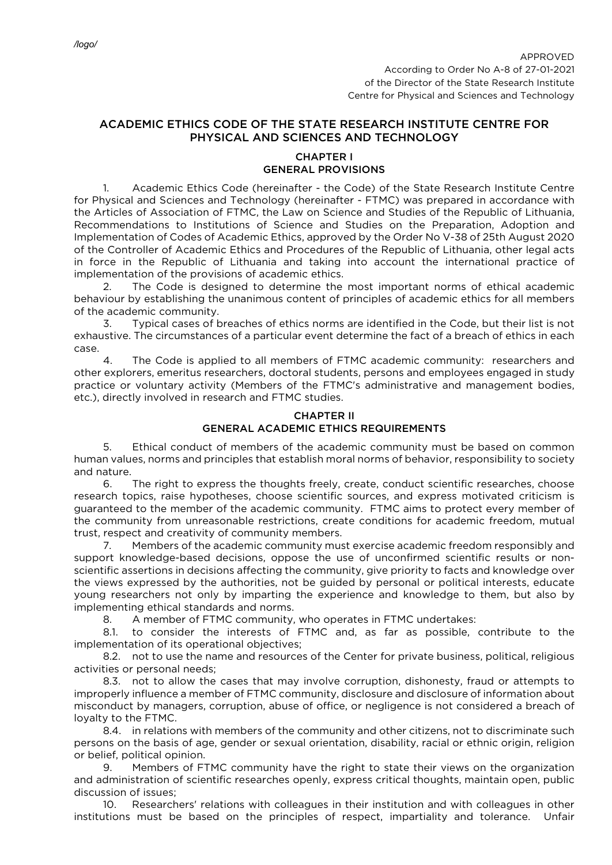## ACADEMIC ETHICS CODE OF THE STATE RESEARCH INSTITUTE CENTRE FOR PHYSICAL AND SCIENCES AND TECHNOLOGY

## CHAPTER I GENERAL PROVISIONS

1. Academic Ethics Code (hereinafter - the Code) of the State Research Institute Centre for Physical and Sciences and Technology (hereinafter - FTMC) was prepared in accordance with the Articles of Association of FTMC, the Law on Science and Studies of the Republic of Lithuania, Recommendations to Institutions of Science and Studies on the Preparation, Adoption and Implementation of Codes of Academic Ethics, approved by the Order No V-38 of 25th August 2020 of the Controller of Academic Ethics and Procedures of the Republic of Lithuania, other legal acts in force in the Republic of Lithuania and taking into account the international practice of implementation of the provisions of academic ethics.

2. The Code is designed to determine the most important norms of ethical academic behaviour by establishing the unanimous content of principles of academic ethics for all members of the academic community.

3. Typical cases of breaches of ethics norms are identified in the Code, but their list is not exhaustive. The circumstances of a particular event determine the fact of a breach of ethics in each case.

4. The Code is applied to all members of FTMC academic community: researchers and other explorers, emeritus researchers, doctoral students, persons and employees engaged in study practice or voluntary activity (Members of the FTMC's administrative and management bodies, etc.), directly involved in research and FTMC studies.

## CHAPTER II GENERAL ACADEMIC ETHICS REQUIREMENTS

5. Ethical conduct of members of the academic community must be based on common human values, norms and principles that establish moral norms of behavior, responsibility to society and nature.

6. The right to express the thoughts freely, create, conduct scientific researches, choose research topics, raise hypotheses, choose scientific sources, and express motivated criticism is guaranteed to the member of the academic community. FTMC aims to protect every member of the community from unreasonable restrictions, create conditions for academic freedom, mutual trust, respect and creativity of community members.

7. Members of the academic community must exercise academic freedom responsibly and support knowledge-based decisions, oppose the use of unconfirmed scientific results or nonscientific assertions in decisions affecting the community, give priority to facts and knowledge over the views expressed by the authorities, not be guided by personal or political interests, educate young researchers not only by imparting the experience and knowledge to them, but also by implementing ethical standards and norms.

8. A member of FTMC community, who operates in FTMC undertakes:

8.1. to consider the interests of FTMC and, as far as possible, contribute to the implementation of its operational objectives;

8.2. not to use the name and resources of the Center for private business, political, religious activities or personal needs;

8.3. not to allow the cases that may involve corruption, dishonesty, fraud or attempts to improperly influence a member of FTMC community, disclosure and disclosure of information about misconduct by managers, corruption, abuse of office, or negligence is not considered a breach of loyalty to the FTMC.

8.4. in relations with members of the community and other citizens, not to discriminate such persons on the basis of age, gender or sexual orientation, disability, racial or ethnic origin, religion or belief, political opinion.

9. Members of FTMC community have the right to state their views on the organization and administration of scientific researches openly, express critical thoughts, maintain open, public discussion of issues;

10. Researchers' relations with colleagues in their institution and with colleagues in other institutions must be based on the principles of respect, impartiality and tolerance. Unfair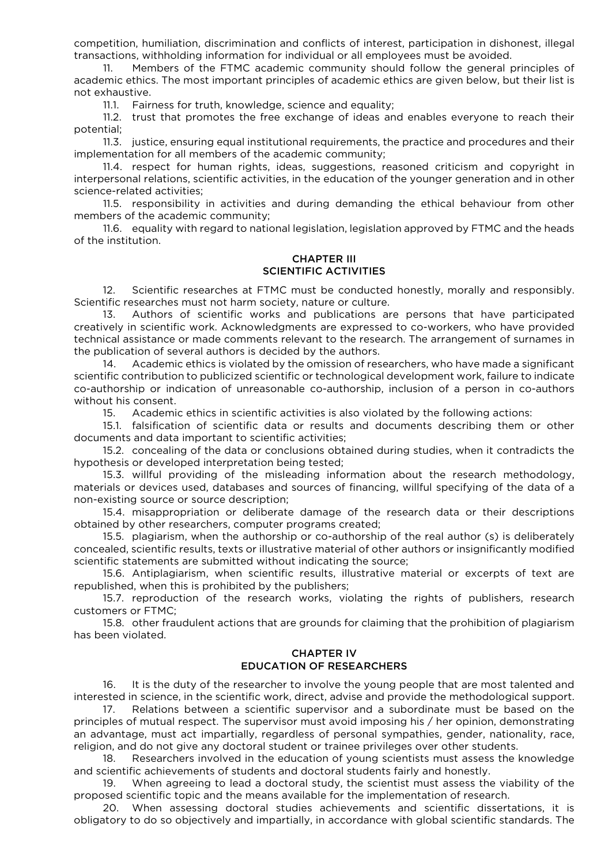competition, humiliation, discrimination and conflicts of interest, participation in dishonest, illegal transactions, withholding information for individual or all employees must be avoided.

11. Members of the FTMC academic community should follow the general principles of academic ethics. The most important principles of academic ethics are given below, but their list is not exhaustive.

11.1. Fairness for truth, knowledge, science and equality;

11.2. trust that promotes the free exchange of ideas and enables everyone to reach their potential;

11.3. justice, ensuring equal institutional requirements, the practice and procedures and their implementation for all members of the academic community;

11.4. respect for human rights, ideas, suggestions, reasoned criticism and copyright in interpersonal relations, scientific activities, in the education of the younger generation and in other science-related activities;

11.5. responsibility in activities and during demanding the ethical behaviour from other members of the academic community;

11.6. equality with regard to national legislation, legislation approved by FTMC and the heads of the institution.

#### CHAPTER III SCIENTIFIC ACTIVITIES

12. Scientific researches at FTMC must be conducted honestly, morally and responsibly. Scientific researches must not harm society, nature or culture.

13. Authors of scientific works and publications are persons that have participated creatively in scientific work. Acknowledgments are expressed to co-workers, who have provided technical assistance or made comments relevant to the research. The arrangement of surnames in the publication of several authors is decided by the authors.

14. Academic ethics is violated by the omission of researchers, who have made a significant scientific contribution to publicized scientific or technological development work, failure to indicate co-authorship or indication of unreasonable co-authorship, inclusion of a person in co-authors without his consent.

15. Academic ethics in scientific activities is also violated by the following actions:

15.1. falsification of scientific data or results and documents describing them or other documents and data important to scientific activities;

15.2. concealing of the data or conclusions obtained during studies, when it contradicts the hypothesis or developed interpretation being tested;

15.3. willful providing of the misleading information about the research methodology, materials or devices used, databases and sources of financing, willful specifying of the data of a non-existing source or source description;

15.4. misappropriation or deliberate damage of the research data or their descriptions obtained by other researchers, computer programs created;

15.5. plagiarism, when the authorship or co-authorship of the real author (s) is deliberately concealed, scientific results, texts or illustrative material of other authors or insignificantly modified scientific statements are submitted without indicating the source;

15.6. Antiplagiarism, when scientific results, illustrative material or excerpts of text are republished, when this is prohibited by the publishers;

15.7. reproduction of the research works, violating the rights of publishers, research customers or FTMC;

15.8. other fraudulent actions that are grounds for claiming that the prohibition of plagiarism has been violated.

## CHAPTER IV EDUCATION OF RESEARCHERS

16. It is the duty of the researcher to involve the young people that are most talented and interested in science, in the scientific work, direct, advise and provide the methodological support.

17. Relations between a scientific supervisor and a subordinate must be based on the principles of mutual respect. The supervisor must avoid imposing his / her opinion, demonstrating an advantage, must act impartially, regardless of personal sympathies, gender, nationality, race, religion, and do not give any doctoral student or trainee privileges over other students.

18. Researchers involved in the education of young scientists must assess the knowledge and scientific achievements of students and doctoral students fairly and honestly.

19. When agreeing to lead a doctoral study, the scientist must assess the viability of the proposed scientific topic and the means available for the implementation of research.

20. When assessing doctoral studies achievements and scientific dissertations, it is obligatory to do so objectively and impartially, in accordance with global scientific standards. The